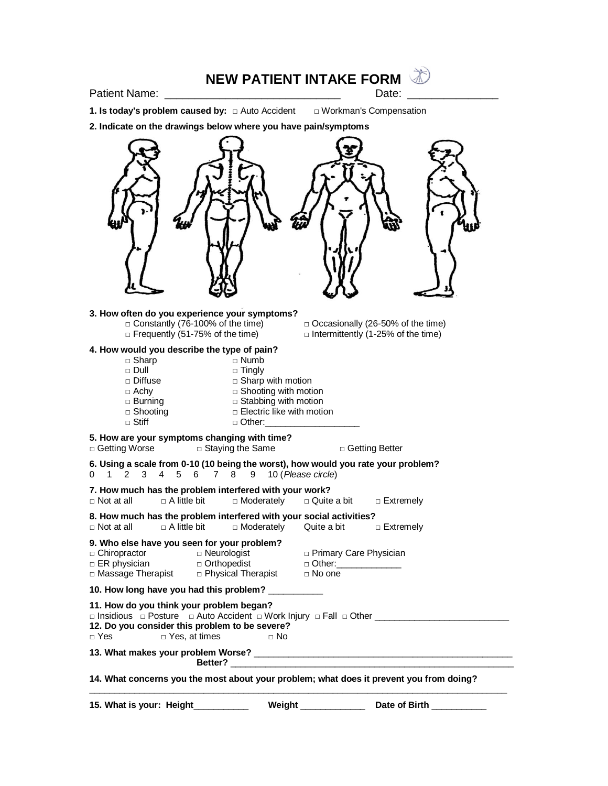## **NEW PATIENT INTAKE FORM**

Patient Name: \_\_\_\_\_\_\_\_\_\_\_\_\_\_\_\_\_\_\_\_\_\_\_\_\_\_\_\_\_ Date: \_\_\_\_\_\_\_\_\_\_\_\_\_\_\_

**1. Is today's problem caused by:** □ Auto Accident □ Workman's Compensation **2. Indicate on the drawings below where you have pain/symptoms 3. How often do you experience your symptoms?** □ Constantly (76-100% of the time)  $□$  Occasionally (26-50% of the time)  $□$  Frequently (51-75% of the time)  $\Box$  Intermittently (1-25% of the time) **4. How would you describe the type of pain?** □ Sharp □ Numb □ Tingly □ Diffuse □ Sharp with motion □ Achy □ Shooting with motion  $\Box$  Burning  $\Box$  Stabbing with motion  $\Box$  Shooting  $\Box$  Electric like with motion □ Stiff □ □ Other: **5. How are your symptoms changing with time?** □ Getting Worse □ Staying the Same □ Getting Better **6. Using a scale from 0-10 (10 being the worst), how would you rate your problem?** 0 1 2 3 4 5 6 7 8 9 10 (*Please circle*) **7. How much has the problem interfered with your work?** □ Not at all □ A little bit □ Moderately □ Quite a bit □ Extremely **8. How much has the problem interfered with your social activities?** □ Not at all □ A little bit □ Moderately Quite a bit □ Extremely **9. Who else have you seen for your problem?** □ Chiropractor □ □ Neurologist □ Primary Care Physician □ ER physician □ Orthopedist □ Other: □ Massage Therapist □ Physical Therapist □ No one **10. How long have you had this problem?** \_\_\_\_\_\_\_\_\_\_\_ **11. How do you think your problem began?** □ Insidious □ Posture □ Auto Accident □ Work Injury □ Fall □ Other \_\_\_\_\_\_\_\_\_\_\_\_\_\_\_\_\_\_\_\_\_\_\_\_\_\_\_ **12. Do you consider this problem to be severe?** □ Yes, at times □ No

**13. What makes your problem Worse?** \_\_\_\_\_\_\_\_\_\_\_\_\_\_\_\_\_\_\_\_\_\_\_\_\_\_\_\_\_\_\_\_\_\_\_\_\_\_\_\_\_\_\_\_\_\_\_\_\_\_\_\_ **Better?** \_\_\_\_\_\_\_\_\_\_\_\_\_\_\_\_\_\_\_\_\_\_\_\_\_\_\_\_\_\_\_\_\_\_\_\_\_\_\_\_\_\_\_\_\_\_\_\_\_\_\_\_\_\_\_\_\_

**14. What concerns you the most about your problem; what does it prevent you from doing?**

\_\_\_\_\_\_\_\_\_\_\_\_\_\_\_\_\_\_\_\_\_\_\_\_\_\_\_\_\_\_\_\_\_\_\_\_\_\_\_\_\_\_\_\_\_\_\_\_\_\_\_\_\_\_\_\_\_\_\_\_\_\_\_\_\_\_\_\_\_\_\_\_\_\_\_\_\_\_\_\_\_\_\_\_

**15. What is your: Height**\_\_\_\_\_\_\_\_\_\_\_ **Weight** \_\_\_\_\_\_\_\_\_\_\_\_\_ **Date of Birth** \_\_\_\_\_\_\_\_\_\_\_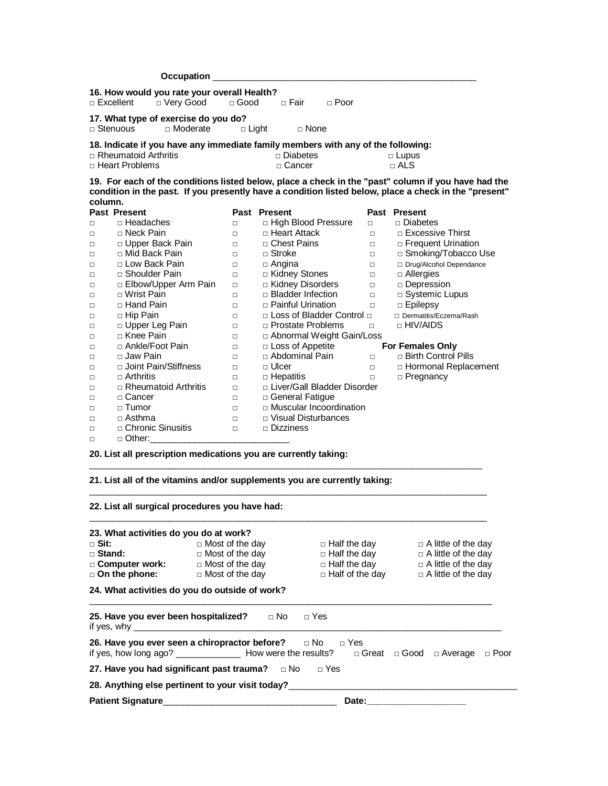|                   | Occupation <b>_</b>                                                              |                        |                               |                     |                     |                                                                                                                                                                                                              |  |  |  |
|-------------------|----------------------------------------------------------------------------------|------------------------|-------------------------------|---------------------|---------------------|--------------------------------------------------------------------------------------------------------------------------------------------------------------------------------------------------------------|--|--|--|
|                   | 16. How would you rate your overall Health?<br>□ Excellent<br>□ Very Good        | $\Box$ Good            | □ Fair                        | $\Box$ Poor         |                     |                                                                                                                                                                                                              |  |  |  |
|                   |                                                                                  |                        |                               |                     |                     |                                                                                                                                                                                                              |  |  |  |
|                   | 17. What type of exercise do you do?                                             |                        |                               |                     |                     |                                                                                                                                                                                                              |  |  |  |
|                   | $\Box$ Stenuous<br>□ Moderate                                                    | $\Box$ Light           | □ None                        |                     |                     |                                                                                                                                                                                                              |  |  |  |
|                   | 18. Indicate if you have any immediate family members with any of the following: |                        |                               |                     |                     |                                                                                                                                                                                                              |  |  |  |
|                   | □ Rheumatoid Arthritis                                                           |                        | □ Diabetes                    |                     |                     | $\Box$ Lupus                                                                                                                                                                                                 |  |  |  |
| □ Heart Problems  |                                                                                  |                        | □ Cancer                      |                     | $\sqcap$ ALS        |                                                                                                                                                                                                              |  |  |  |
|                   |                                                                                  |                        |                               |                     |                     |                                                                                                                                                                                                              |  |  |  |
|                   |                                                                                  |                        |                               |                     |                     | 19. For each of the conditions listed below, place a check in the "past" column if you have had the<br>condition in the past. If you presently have a condition listed below, place a check in the "present" |  |  |  |
|                   | column.                                                                          |                        |                               |                     |                     |                                                                                                                                                                                                              |  |  |  |
|                   | <b>Past Present</b>                                                              |                        | Past Present                  |                     |                     | Past Present                                                                                                                                                                                                 |  |  |  |
| $\Box$            | □ Headaches                                                                      | $\Box$                 | □ High Blood Pressure         |                     | $\Box$              | □ Diabetes                                                                                                                                                                                                   |  |  |  |
| $\Box$            | □ Neck Pain                                                                      | $\Box$                 | □ Heart Attack                |                     | $\Box$              | □ Excessive Thirst                                                                                                                                                                                           |  |  |  |
| $\Box$            | D Upper Back Pain                                                                | $\Box$                 | □ Chest Pains                 |                     | $\Box$              | □ Frequent Urination                                                                                                                                                                                         |  |  |  |
| $\Box$            | □ Mid Back Pain                                                                  | $\Box$                 | $\Box$ Stroke                 |                     | $\Box$              | □ Smoking/Tobacco Use                                                                                                                                                                                        |  |  |  |
| $\Box$            | □ Low Back Pain                                                                  | $\Box$                 | $\Box$ Angina                 |                     | $\Box$              | □ Drug/Alcohol Dependance                                                                                                                                                                                    |  |  |  |
| $\Box$            | □ Shoulder Pain                                                                  | $\Box$                 | □ Kidney Stones               |                     | $\Box$              | $\Box$ Allergies                                                                                                                                                                                             |  |  |  |
| $\Box$            | □ Elbow/Upper Arm Pain                                                           | $\Box$                 | □ Kidney Disorders            |                     | $\Box$              | □ Depression                                                                                                                                                                                                 |  |  |  |
| $\Box$            | □ Wrist Pain                                                                     | $\Box$                 | $\Box$ Bladder Infection      |                     | $\Box$              | □ Systemic Lupus                                                                                                                                                                                             |  |  |  |
| $\Box$            | □ Hand Pain                                                                      | $\Box$                 | □ Painful Urination           |                     | $\Box$              | □ Epilepsy                                                                                                                                                                                                   |  |  |  |
| $\Box$            | □ Hip Pain                                                                       | $\Box$                 | □ Loss of Bladder Control □   |                     |                     | □ Dermatitis/Eczema/Rash                                                                                                                                                                                     |  |  |  |
| $\Box$            | D Upper Leg Pain                                                                 | $\Box$                 | □ Prostate Problems           |                     | $\Box$              | □ HIV/AIDS                                                                                                                                                                                                   |  |  |  |
| $\Box$            | □ Knee Pain                                                                      | $\Box$                 | □ Abnormal Weight Gain/Loss   |                     |                     |                                                                                                                                                                                                              |  |  |  |
| $\Box$            | □ Ankle/Foot Pain                                                                | $\Box$                 | $\Box$ Loss of Appetite       |                     |                     | <b>For Females Only</b>                                                                                                                                                                                      |  |  |  |
| $\Box$            | □ Jaw Pain                                                                       | $\Box$                 | □ Abdominal Pain              |                     | $\Box$              | □ Birth Control Pills                                                                                                                                                                                        |  |  |  |
| $\Box$            | □ Joint Pain/Stiffness                                                           | $\Box$                 | □ Ulcer                       |                     | $\Box$              | □ Hormonal Replacement                                                                                                                                                                                       |  |  |  |
| $\Box$            | $\Box$ Arthritis                                                                 | $\Box$                 | $\Box$ Hepatitis              |                     | $\Box$              | □ Pregnancy                                                                                                                                                                                                  |  |  |  |
| $\Box$            | $\Box$ Rheumatoid Arthritis                                                      | $\Box$                 | □ Liver/Gall Bladder Disorder |                     |                     |                                                                                                                                                                                                              |  |  |  |
| $\Box$            | □ Cancer                                                                         | $\Box$                 | □ General Fatigue             |                     |                     |                                                                                                                                                                                                              |  |  |  |
| $\Box$            | $\Box$ Tumor                                                                     | $\Box$                 | □ Muscular Incoordination     |                     |                     |                                                                                                                                                                                                              |  |  |  |
| $\Box$            | $\Box$ Asthma                                                                    | $\Box$                 | □ Visual Disturbances         |                     |                     |                                                                                                                                                                                                              |  |  |  |
| $\Box$            | □ Chronic Sinusitis                                                              | $\Box$                 | $\Box$ Dizziness              |                     |                     |                                                                                                                                                                                                              |  |  |  |
| $\Box$            | $\Box$ Other:                                                                    |                        |                               |                     |                     |                                                                                                                                                                                                              |  |  |  |
|                   |                                                                                  |                        |                               |                     |                     |                                                                                                                                                                                                              |  |  |  |
|                   | 20. List all prescription medications you are currently taking:                  |                        |                               |                     |                     |                                                                                                                                                                                                              |  |  |  |
|                   |                                                                                  |                        |                               |                     |                     |                                                                                                                                                                                                              |  |  |  |
|                   | 21. List all of the vitamins and/or supplements you are currently taking:        |                        |                               |                     |                     |                                                                                                                                                                                                              |  |  |  |
|                   |                                                                                  |                        |                               |                     |                     |                                                                                                                                                                                                              |  |  |  |
|                   | 22. List all surgical procedures you have had:                                   |                        |                               |                     |                     |                                                                                                                                                                                                              |  |  |  |
|                   |                                                                                  |                        |                               |                     |                     |                                                                                                                                                                                                              |  |  |  |
|                   |                                                                                  |                        |                               |                     |                     |                                                                                                                                                                                                              |  |  |  |
|                   | 23. What activities do you do at work?                                           |                        |                               |                     |                     |                                                                                                                                                                                                              |  |  |  |
| <sub>⊓</sub> Sit: |                                                                                  | $\Box$ Most of the day |                               |                     | $\Box$ Half the day | $\Box$ A little of the day                                                                                                                                                                                   |  |  |  |
| □ Stand:          |                                                                                  | $\Box$ Most of the day |                               | □ Half the day      |                     | $\Box$ A little of the day                                                                                                                                                                                   |  |  |  |
| □ Computer work:  |                                                                                  | $\Box$ Most of the day |                               | $\Box$ Half the day |                     | $\Box$ A little of the day                                                                                                                                                                                   |  |  |  |

## **24. What activities do you do outside of work?**

| 25. Have you ever been hospitalized? $\Box$ No $\Box$ Yes          |  |  |       |  |  |  |
|--------------------------------------------------------------------|--|--|-------|--|--|--|
| 26. Have you ever seen a chiropractor before? $\Box$ No $\Box$ Yes |  |  |       |  |  |  |
| 27. Have you had significant past trauma? $\Box$ No $\Box$ Yes     |  |  |       |  |  |  |
| 28. Anything else pertinent to your visit today?                   |  |  |       |  |  |  |
|                                                                    |  |  | Date: |  |  |  |

□ On the phone: □ Most of the day □ Half of the day □ A little of the day